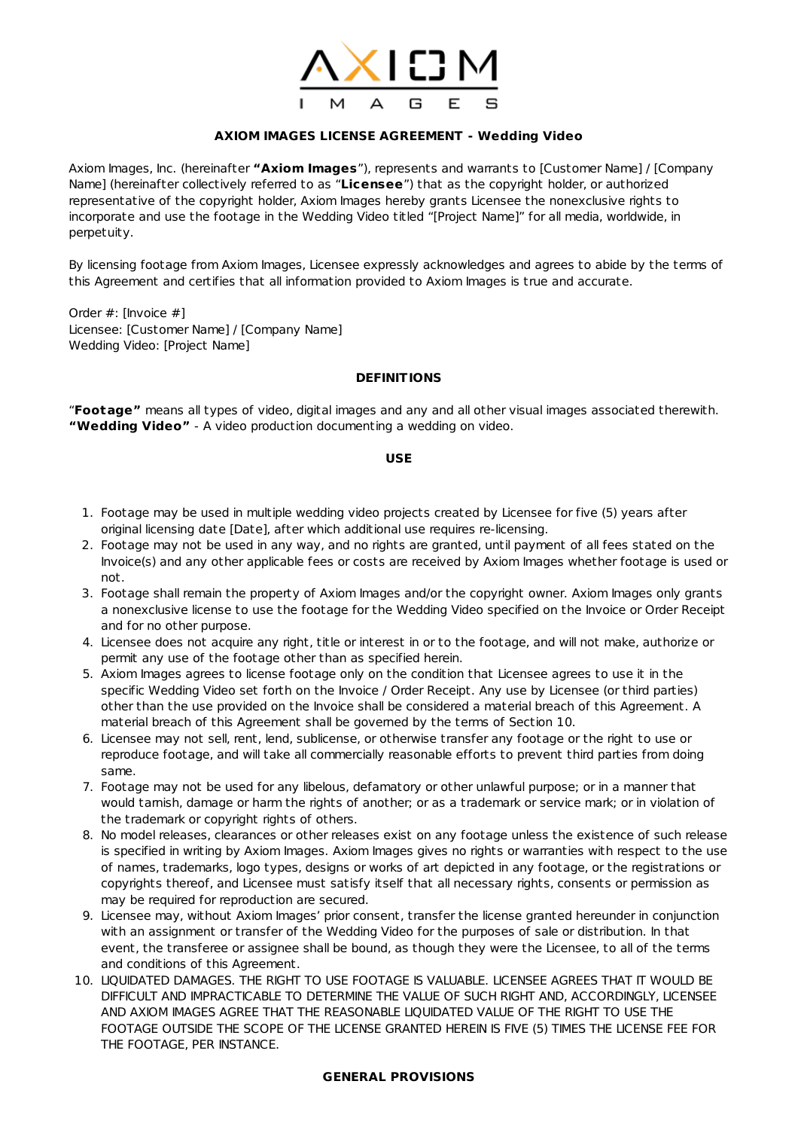

# **AXIOM IMAGES LICENSE AGREEMENT - Wedding Video**

Axiom Images, Inc. (hereinafter **"Axiom Images**"), represents and warrants to [Customer Name] / [Company Name] (hereinafter collectively referred to as "**Licensee**") that as the copyright holder, or authorized representative of the copyright holder, Axiom Images hereby grants Licensee the nonexclusive rights to incorporate and use the footage in the Wedding Video titled "[Project Name]" for all media, worldwide, in perpetuity.

By licensing footage from Axiom Images, Licensee expressly acknowledges and agrees to abide by the terms of this Agreement and certifies that all information provided to Axiom Images is true and accurate.

Order #: [Invoice #] Licensee: [Customer Name] / [Company Name] Wedding Video: [Project Name]

## **DEFINITIONS**

"**Footage"** means all types of video, digital images and any and all other visual images associated therewith. **"Wedding Video"** - A video production documenting a wedding on video.

#### **USE**

- 1. Footage may be used in multiple wedding video projects created by Licensee for five (5) years after original licensing date [Date], after which additional use requires re-licensing.
- 2. Footage may not be used in any way, and no rights are granted, until payment of all fees stated on the Invoice(s) and any other applicable fees or costs are received by Axiom Images whether footage is used or not.
- 3. Footage shall remain the property of Axiom Images and/or the copyright owner. Axiom Images only grants a nonexclusive license to use the footage for the Wedding Video specified on the Invoice or Order Receipt and for no other purpose.
- 4. Licensee does not acquire any right, title or interest in or to the footage, and will not make, authorize or permit any use of the footage other than as specified herein.
- 5. Axiom Images agrees to license footage only on the condition that Licensee agrees to use it in the specific Wedding Video set forth on the Invoice / Order Receipt. Any use by Licensee (or third parties) other than the use provided on the Invoice shall be considered a material breach of this Agreement. A material breach of this Agreement shall be governed by the terms of Section 10.
- 6. Licensee may not sell, rent, lend, sublicense, or otherwise transfer any footage or the right to use or reproduce footage, and will take all commercially reasonable efforts to prevent third parties from doing same.
- 7. Footage may not be used for any libelous, defamatory or other unlawful purpose; or in a manner that would tarnish, damage or harm the rights of another; or as a trademark or service mark; or in violation of the trademark or copyright rights of others.
- 8. No model releases, clearances or other releases exist on any footage unless the existence of such release is specified in writing by Axiom Images. Axiom Images gives no rights or warranties with respect to the use of names, trademarks, logo types, designs or works of art depicted in any footage, or the registrations or copyrights thereof, and Licensee must satisfy itself that all necessary rights, consents or permission as may be required for reproduction are secured.
- 9. Licensee may, without Axiom Images' prior consent, transfer the license granted hereunder in conjunction with an assignment or transfer of the Wedding Video for the purposes of sale or distribution. In that event, the transferee or assignee shall be bound, as though they were the Licensee, to all of the terms and conditions of this Agreement.
- 10. LIQUIDATED DAMAGES. THE RIGHT TO USE FOOTAGE IS VALUABLE. LICENSEE AGREES THAT IT WOULD BE DIFFICULT AND IMPRACTICABLE TO DETERMINE THE VALUE OF SUCH RIGHT AND, ACCORDINGLY, LICENSEE AND AXIOM IMAGES AGREE THAT THE REASONABLE LIQUIDATED VALUE OF THE RIGHT TO USE THE FOOTAGE OUTSIDE THE SCOPE OF THE LICENSE GRANTED HEREIN IS FIVE (5) TIMES THE LICENSE FEE FOR THE FOOTAGE, PER INSTANCE.

## **GENERAL PROVISIONS**